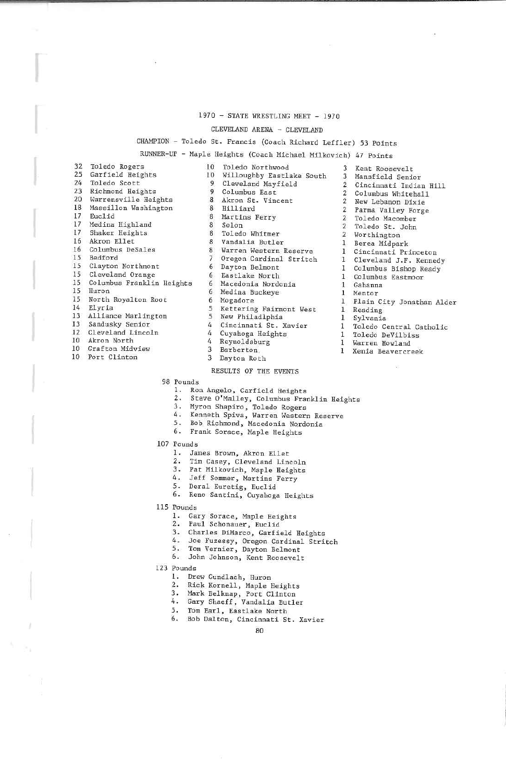## 1970 - STATE WRESTLING MEET - 1970

## CLEVELAND ARENA - CLEVELAND

### CHAMPION - Toledo St. Francis (Coach Richard Leffler) 53 Point

# RUNNER-UP - Maple Heights (Coach Michael Milkovich) 47 Points 10 Willoughby Eastlake South

Cleveland MayfieldColumbus East**Hilliard** martins Ferry Solon Toledo Whitmer Warren Western Reserve Oregon Cardinal StritchDayton Belmont Eastlake NorthMedina BuckeyeMogadore Kettering Fairmont West Cincinnati St. XavierCuyahoga Heights

10Toledo Northwood

3 Akron St. Vincent

8 Vandalia Butler

6 Macedonia Nordonia

 99

 6 65

 4 k tt3

32 Toledo Rogers<br>25 Garfield Heigh 32 25 Garfield Heights24 Toledo Scott<br>23 Richmond Heig 23 Richmond HeightsWarrensville Heights 20 Marrensville Height<br>18 Massillon Washingto

- 
- 17 Euclid<br>17 Medina
- 17 Medina Highland
- 17 Shaker Heights
- 16 Akron Ellet<br>16 Columbus Des
- 16 Columbus DeSales
- 
- 15 BedfordClayton Northmont
- 15 Clayton Northmont
- 15 Cleveland Orange 15 Columbus Franklin He
- 
- 15 Huron 15 North Royalton Root
- 
- 14 Elyria
- 3 Alliance Matilington
- 13 Sandusky Senior
- 10 Akron North
- 
- 10 Grafton Midview
- 
- 10 Fort Clinton
- 

## 3 Dayton RothReynoldsburgBarberton

5. New Philadiphia

# RESULTS OF THE EVENTS

98 Pounds

- 
- 1. Ron Angela, Galieley, Columbus Franklin Heights<br>3. Myron Shapiro, Toledo Rogers<br>4. Menneth Spiva, Warren Western Reserve<br>5. Bob Richmond, Macedonia Nordonia<br>5. Frank Sorace, Maple Heights
- 
- 
- 
- 
- 107 Founds

#### . James Brown, Akron Ellet

- Tim Casey, Cleveland Lincoln
- 2. Tim Casey, Cleveland Lincoln 3. Pat Milkovicli, Maple Heights
- 4. Jeff Sommer, Martins Ferry
- 
- 5. Deral Euretig, Euclid
- .. Keno Santini, Cuyahoga Heights
- 115 Pounds
	- . Gary Sorace, Maple Heights
	- 2. Paul Schonauer, Euclid
	- 3. Charles DiMarco, Garfield Heights
	- 4. Joe Fuzessy, Oregon Cardinal Stricch
	- 5. Tom Vernier, Dayton Belmont
	- 6. John Johnson. Kent Koosevelt
- 123 Founds
	- . Drew Gundlach, Huron
	- . Kick Kornell, Maple Heights
	-
	- 3. Mark Belknap, Fort Clinton 4. Gary Shaeff, Vandalla Butler
	- 5. Tom Earl, Eastlake North
	- . Bob Dalton, Cincinnati St. Xavier
- 3Kent Roosevelc
- 3Mansfield Senior
- 2 Cincinnati Indian Hill
- 2Columbus Whitehall
- 2 New Lebanon Dixie
- 2Parma Valley Forge
- 2Toledo Macomber
- 2 Toledo St. John
- 2Worthing ton
- 1 Berea Midpark
- 1 Cincinnati Princeton
- 
- 1 Cleveland J.F. Kennedy
- I Columbus Bishop ReadyColumbus Eastmoor
- 1
- l Gahanna
- 1 Mentor
- Plain City Jonathan Al.
- l Reading
- 1Sylvanla

1

- Toledo Central Catholii
- Toledo DeVilbiss
- l Warren Howland
- l Xenia Beavercreek
	-
- 
-